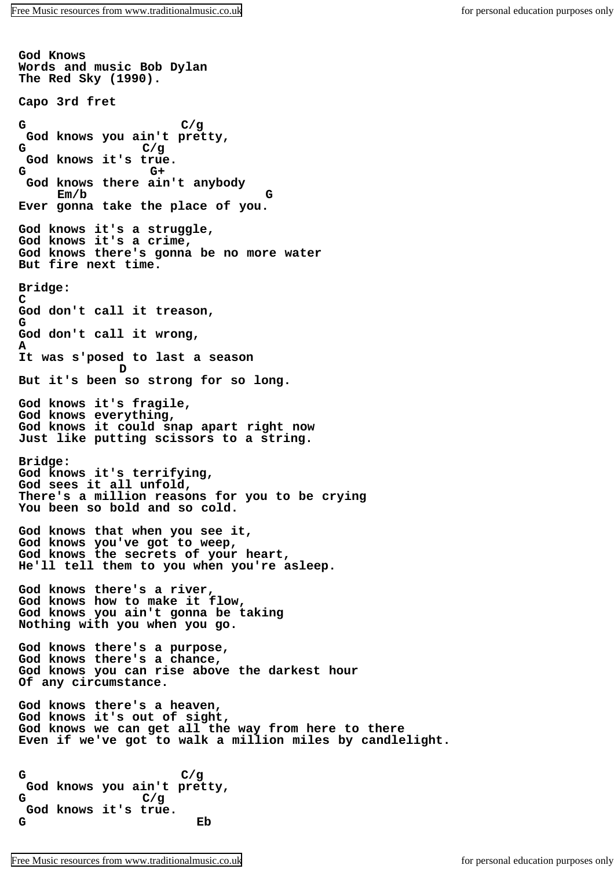**God Knows Words and music Bob Dylan The Red Sky (1990). Capo 3rd fret G C/g God knows you ain't pretty, G C/g God knows it's true. G G+ God knows there ain't anybody Em/b G Ever gonna take the place of you. God knows it's a struggle, God knows it's a crime, God knows there's gonna be no more water But fire next time. Bridge: C God don't call it treason, G God don't call it wrong, A It was s'posed to last a season D But it's been so strong for so long. God knows it's fragile, God knows everything, God knows it could snap apart right now Just like putting scissors to a string. Bridge: God knows it's terrifying, God sees it all unfold, There's a million reasons for you to be crying You been so bold and so cold. God knows that when you see it, God knows you've got to weep, God knows the secrets of your heart, He'll tell them to you when you're asleep. God knows there's a river, God knows how to make it flow, God knows you ain't gonna be taking Nothing with you when you go. God knows there's a purpose, God knows there's a chance, God knows you can rise above the darkest hour Of any circumstance. God knows there's a heaven, God knows it's out of sight, God knows we can get all the way from here to there Even if we've got to walk a million miles by candlelight. G C/g God knows you ain't pretty, G C/g God knows it's true.**

**G Eb**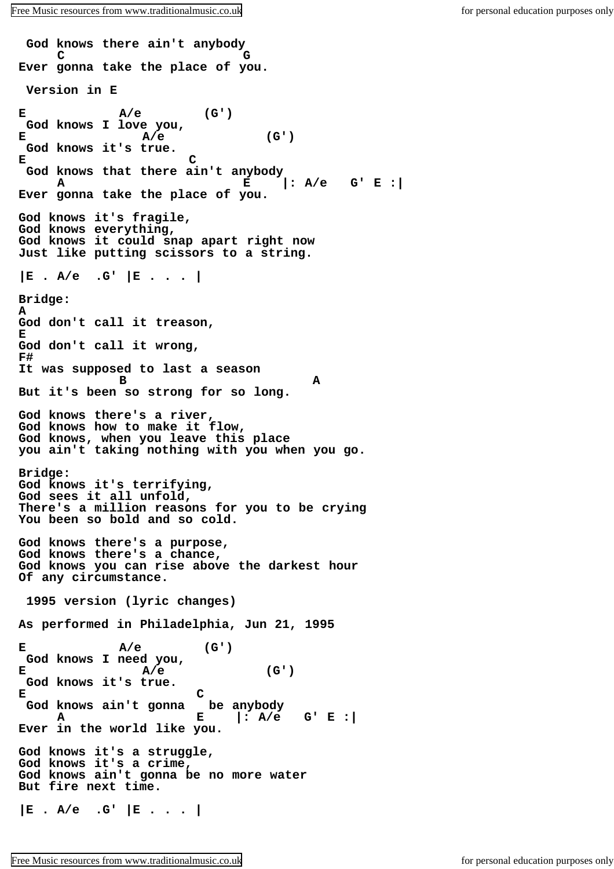**God knows there ain't anybody C G Ever gonna take the place of you. Version in E E A/e (G') God knows I love you,** E A/e (G')  **God knows it's true. E** C  **God knows that there ain't anybody A E |: A/e G' E :| Ever gonna take the place of you. God knows it's fragile, God knows everything, God knows it could snap apart right now Just like putting scissors to a string. |E . A/e .G' |E . . . | Bridge: A God don't call it treason, E God don't call it wrong, F# It was supposed to last a season B A But it's been so strong for so long. God knows there's a river, God knows how to make it flow, God knows, when you leave this place you ain't taking nothing with you when you go. Bridge: God knows it's terrifying, God sees it all unfold, There's a million reasons for you to be crying You been so bold and so cold. God knows there's a purpose, God knows there's a chance, God knows you can rise above the darkest hour Of any circumstance. 1995 version (lyric changes) As performed in Philadelphia, Jun 21, 1995 E A/e (G') God knows I need you,** E A/e (G')  **God knows it's true. E C** God knows ain't gonna be anybody<br>A<br>B<br>R<br>R<br>R<br>R  **A E |: A/e G' E :| Ever in the world like you. God knows it's a struggle, God knows it's a crime, God knows ain't gonna be no more water But fire next time. |E . A/e .G' |E . . . |**